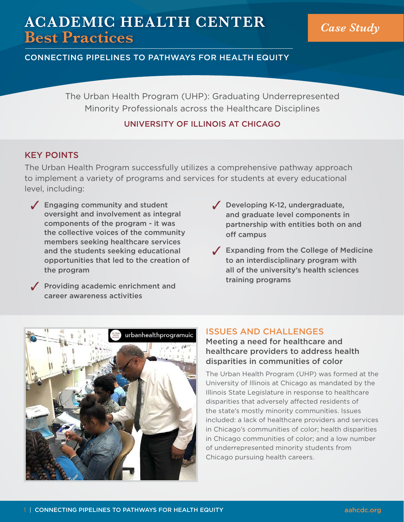# **ACADEMIC HEALTH CENTER Best Practices** *Case Study*

CONNECTING PIPELINES TO PATHWAYS FOR HEALTH EQUITY

The Urban Health Program (UHP): Graduating Underrepresented Minority Professionals across the Healthcare Disciplines

# UNIVERSITY OF ILLINOIS AT CHICAGO

# KEY POINTS

The Urban Health Program successfully utilizes a comprehensive pathway approach to implement a variety of programs and services for students at every educational level, including:

- $\sqrt{\phantom{a}}$  Engaging community and student oversight and involvement as integral components of the program - it was the collective voices of the community members seeking healthcare services and the students seeking educational opportunities that led to the creation of the program
- $\sqrt{\phantom{a}}$  Providing academic enrichment and career awareness activities
- $\sqrt{\phantom{a}}$  Developing K-12, undergraduate, and graduate level components in partnership with entities both on and off campus
- $\sqrt{\phantom{a}}$  Expanding from the College of Medicine to an interdisciplinary program with all of the university's health sciences training programs



# ISSUES AND CHALLENGES

Meeting a need for healthcare and healthcare providers to address health disparities in communities of color

The Urban Health Program (UHP) was formed at the University of Illinois at Chicago as mandated by the Illinois State Legislature in response to healthcare disparities that adversely affected residents of the state's mostly minority communities. Issues included: a lack of healthcare providers and services in Chicago's communities of color; health disparities in Chicago communities of color; and a low number of underrepresented minority students from Chicago pursuing health careers.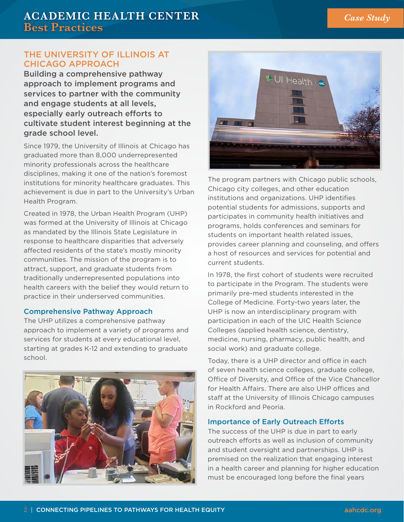## THE UNIVERSITY OF ILLINOIS AT CHICAGO APPROACH

Building a comprehensive pathway approach to implement programs and services to partner with the community and engage students at all levels, especially early outreach efforts to cultivate student interest beginning at the grade school level.

Since 1979, the University of Illinois at Chicago has graduated more than 8,000 underrepresented minority professionals across the healthcare disciplines, making it one of the nation's foremost institutions for minority healthcare graduates. This achievement is due in part to the University's Urban Health Program.

Created in 1978, the Urban Health Program (UHP) was formed at the University of Illinois at Chicago as mandated by the Illinois State Legislature in response to healthcare disparities that adversely affected residents of the state's mostly minority communities. The mission of the program is to attract, support, and graduate students from traditionally underrepresented populations into health careers with the belief they would return to practice in their underserved communities.

#### Comprehensive Pathway Approach

The UHP utilizes a comprehensive pathway approach to implement a variety of programs and services for students at every educational level, starting at grades K-12 and extending to graduate school.





The program partners with Chicago public schools, Chicago city colleges, and other education institutions and organizations. UHP identifies potential students for admissions, supports and participates in community health initiatives and programs, holds conferences and seminars for students on important health related issues, provides career planning and counseling, and offers a host of resources and services for potential and current students.

In 1978, the first cohort of students were recruited to participate in the Program. The students were primarily pre-med students interested in the College of Medicine. Forty-two years later, the UHP is now an interdisciplinary program with participation in each of the UIC Health Science Colleges (applied health science, dentistry, medicine, nursing, pharmacy, public health, and social work) and graduate college.

Today, there is a UHP director and office in each of seven health science colleges, graduate college, Office of Diversity, and Office of the Vice Chancellor for Health Affairs. There are also UHP offices and staff at the University of Illinois Chicago campuses in Rockford and Peoria.

#### Importance of Early Outreach Efforts

The success of the UHP is due in part to early outreach efforts as well as inclusion of community and student oversight and partnerships. UHP is premised on the realization that engaging interest in a health career and planning for higher education must be encouraged long before the final years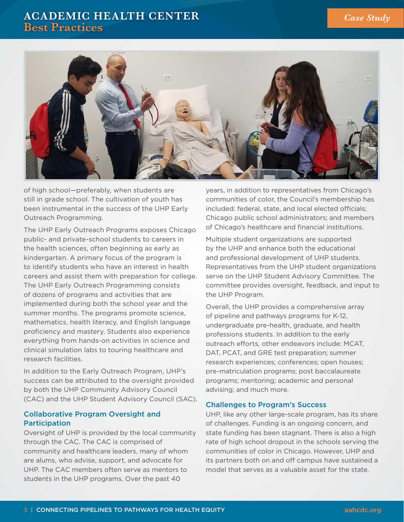# **ACADEMIC HEALTH CENTER Best Practices**



of high school—preferably, when students are still in grade school. The cultivation of youth has been instrumental in the success of the UHP Early Outreach Programming.

The UHP Early Outreach Programs exposes Chicago public- and private-school students to careers in the health sciences, often beginning as early as kindergarten. A primary focus of the program is to identify students who have an interest in health careers and assist them with preparation for college. The UHP Early Outreach Programming consists of dozens of programs and activities that are implemented during both the school year and the summer months. The programs promote science, mathematics, health literacy, and English language proficiency and mastery. Students also experience everything from hands-on activities in science and clinical simulation labs to touring healthcare and research facilities.

In addition to the Early Outreach Program, UHP's success can be attributed to the oversight provided by both the UHP Community Advisory Council (CAC) and the UHP Student Advisory Council (SAC).

## Collaborative Program Oversight and **Participation**

Oversight of UHP is provided by the local community through the CAC. The CAC is comprised of community and healthcare leaders, many of whom are alums, who advise, support, and advocate for UHP. The CAC members often serve as mentors to students in the UHP programs. Over the past 40

years, in addition to representatives from Chicago's communities of color, the Council's membership has included: federal, state, and local elected officials; Chicago public school administrators; and members of Chicago's healthcare and financial institutions.

Multiple student organizations are supported by the UHP and enhance both the educational and professional development of UHP students. Representatives from the UHP student organizations serve on the UHP Student Advisory Committee. The committee provides oversight, feedback, and input to the UHP Program.

Overall, the UHP provides a comprehensive array of pipeline and pathways programs for K-12, undergraduate pre-health, graduate, and health professions students. In addition to the early outreach efforts, other endeavors include: MCAT, DAT, PCAT, and GRE test preparation; summer research experiences; conferences; open houses; pre-matriculation programs; post baccalaureate programs; mentoring; academic and personal advising; and much more.

## Challenges to Program's Success

UHP, like any other large-scale program, has its share of challenges. Funding is an ongoing concern, and state funding has been stagnant. There is also a high rate of high school dropout in the schools serving the communities of color in Chicago. However, UHP and its partners both on and off campus have sustained a model that serves as a valuable asset for the state.